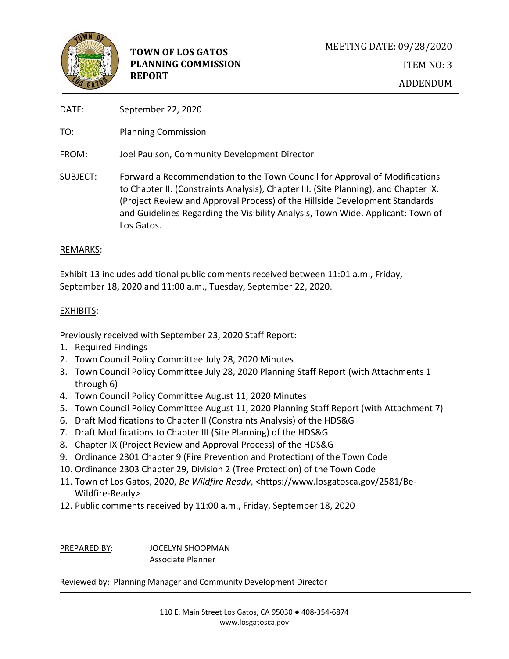

- DATE: September 22, 2020
- TO: Planning Commission
- FROM: Joel Paulson, Community Development Director
- SUBJECT: Forward a Recommendation to the Town Council for Approval of Modifications to Chapter II. (Constraints Analysis), Chapter III. (Site Planning), and Chapter IX. (Project Review and Approval Process) of the Hillside Development Standards and Guidelines Regarding the Visibility Analysis, Town Wide. Applicant: Town of Los Gatos.

## REMARKS:

Exhibit 13 includes additional public comments received between 11:01 a.m., Friday, September 18, 2020 and 11:00 a.m., Tuesday, September 22, 2020.

## EXHIBITS:

## Previously received with September 23, 2020 Staff Report:

- 1. Required Findings
- 2. Town Council Policy Committee July 28, 2020 Minutes
- 3. Town Council Policy Committee July 28, 2020 Planning Staff Report (with Attachments 1 through 6)
- 4. Town Council Policy Committee August 11, 2020 Minutes
- 5. Town Council Policy Committee August 11, 2020 Planning Staff Report (with Attachment 7)
- 6. Draft Modifications to Chapter II (Constraints Analysis) of the HDS&G
- 7. Draft Modifications to Chapter III (Site Planning) of the HDS&G
- 8. Chapter IX (Project Review and Approval Process) of the HDS&G
- 9. Ordinance 2301 Chapter 9 (Fire Prevention and Protection) of the Town Code
- 10. Ordinance 2303 Chapter 29, Division 2 (Tree Protection) of the Town Code
- 11. Town of Los Gatos, 2020, *Be Wildfire Ready*, <https://www.losgatosca.gov/2581/Be-Wildfire-Ready>
- 12. Public comments received by 11:00 a.m., Friday, September 18, 2020

PREPARED BY: JOCELYN SHOOPMAN Associate Planner

Reviewed by: Planning Manager and Community Development Director